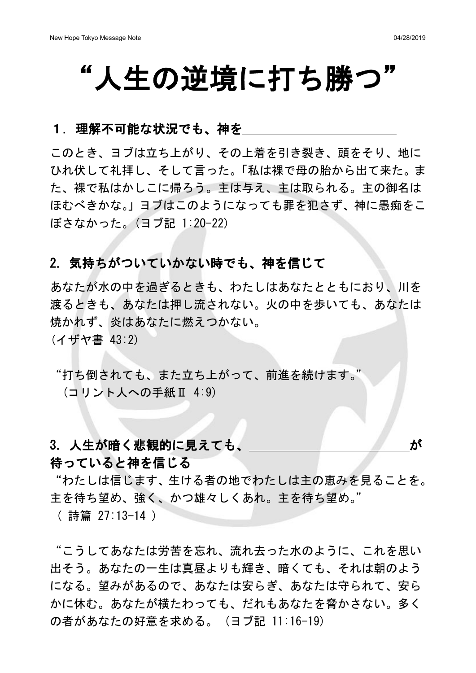# "人生の逆境に打ち勝つ"

#### 1. 理解不可能な状況でも、神を

このとき、ヨブは立ち上がり、その上着を引き裂き、頭をそり、地に ひれ伏して礼拝し、そして言った。「私は裸で母の胎から出て来た。ま た、裸で私はかしこに帰ろう。主は与え、主は取られる。主の御名は ほむべきかな。」ヨブはこのようになっても罪を犯さず、神に愚痴をこ ぼさなかった。(ヨブ記 1:20-22)

### 2. 気持ちがついていかない時でも、神を信じて

あなたが水の中を過ぎるときも、わたしはあなたとともにおり、川を 渡るときも、あなたは押し流されない。火の中を歩いても、あなたは 焼かれず、炎はあなたに燃えつかない。 (イザヤ書 43:2)

"打ち倒されても、また立ち上がって、前進を続けます。" (コリント人への手紙Ⅱ 4:9)

### 3. 人生が暗く悲観的に見えても、 インファイン かいしょう

#### 待っていると神を信じる

"わたしは信じます、生ける者の地でわたしは主の恵みを見ることを。 主を待ち望め、強く、かつ雄々しくあれ。主を待ち望め。" ( 詩篇 27:13-14 )

"こうしてあなたは労苦を忘れ、流れ去った水のように、これを思い 出そう。あなたの一生は真昼よりも輝き、暗くても、それは朝のよう になる。望みがあるので、あなたは安らぎ、あなたは守られて、安ら かに休む。あなたが横たわっても、だれもあなたを脅かさない。多く の者があなたの好意を求める。 (ヨブ記 11:16-19)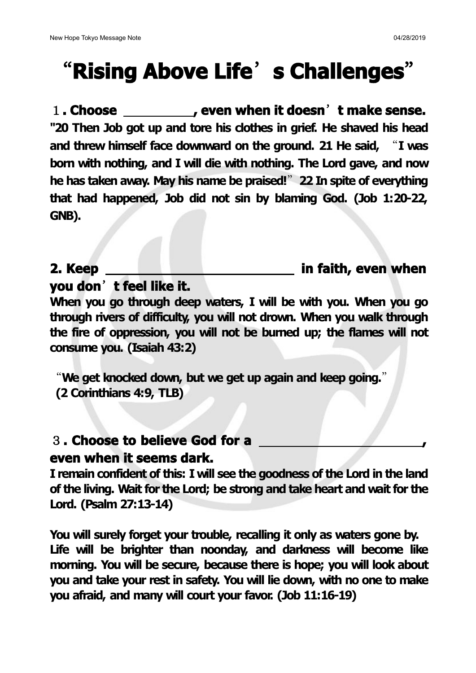# "**Rising Above Life**'**s Challenges**"

1**. Choose , even when it doesn**'**t make sense. "20 Then Job got up and tore his clothes in grief. He shaved his head and threw himself facedownward on the ground. 21 He said,** "**I was born with nothing, and I will die with nothing. The Lord gave, and now he has taken away. May his name be praised!**"**22 In spite of everything that had happened, Job did not sin by blaming God. (Job 1:20-22, GNB).**

**2. Keep in faith, even when**

**you don**'**t feellike it.**

**When you go through deep waters, I will be with you. When you go through rivers of difficulty, you will not drown. When you walk through the fire of oppression, you will not be burned up; the flames will not consume you. (Isaiah 43:2)**

"**We get knocked down, but we get up again and keep going.**" **(2 Corinthians 4:9, TLB)**

## 3**. Choose to believe God for a , even when it seems dark.**

**I remain confident of this: I will see the goodness of the Lord in the land of the living. Wait for the Lord; be strong and take heart and wait for the Lord. (Psalm 27:13-14)**

**You will surely forget your trouble, recalling it only as waters gone by. Life will be brighter than noonday, and darkness will become like morning. You will be secure, because there is hope; you will look about you and take your rest in safety. You will lie down, with no one to make you afraid, and many will court your favor. (Job 11:16-19)**